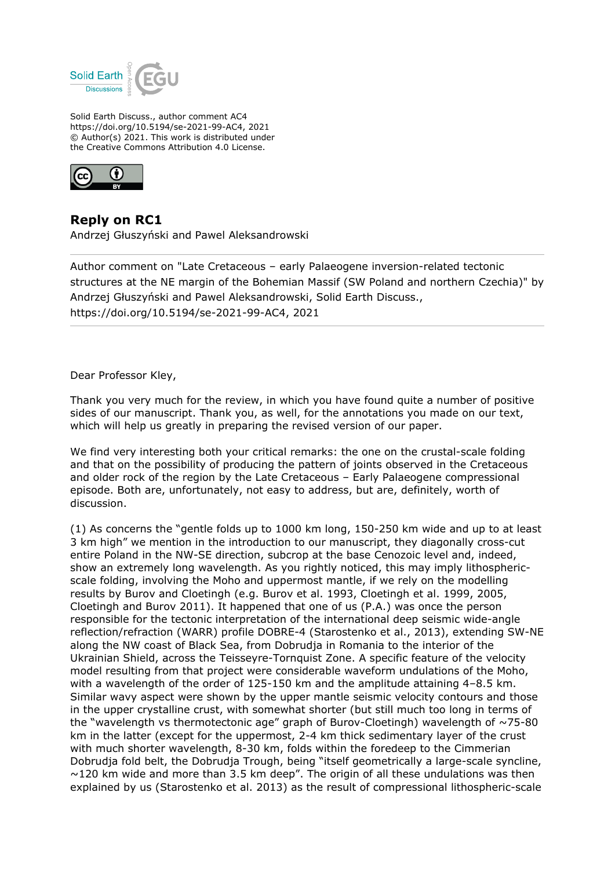

Solid Earth Discuss., author comment AC4 https://doi.org/10.5194/se-2021-99-AC4, 2021 © Author(s) 2021. This work is distributed under the Creative Commons Attribution 4.0 License.



## **Reply on RC1**

Andrzej Głuszyński and Pawel Aleksandrowski

Author comment on "Late Cretaceous – early Palaeogene inversion-related tectonic structures at the NE margin of the Bohemian Massif (SW Poland and northern Czechia)" by Andrzej Głuszyński and Pawel Aleksandrowski, Solid Earth Discuss., https://doi.org/10.5194/se-2021-99-AC4, 2021

Dear Professor Kley,

Thank you very much for the review, in which you have found quite a number of positive sides of our manuscript. Thank you, as well, for the annotations you made on our text, which will help us greatly in preparing the revised version of our paper.

We find very interesting both your critical remarks: the one on the crustal-scale folding and that on the possibility of producing the pattern of joints observed in the Cretaceous and older rock of the region by the Late Cretaceous – Early Palaeogene compressional episode. Both are, unfortunately, not easy to address, but are, definitely, worth of discussion.

(1) As concerns the "gentle folds up to 1000 km long, 150-250 km wide and up to at least 3 km high" we mention in the introduction to our manuscript, they diagonally cross-cut entire Poland in the NW-SE direction, subcrop at the base Cenozoic level and, indeed, show an extremely long wavelength. As you rightly noticed, this may imply lithosphericscale folding, involving the Moho and uppermost mantle, if we rely on the modelling results by Burov and Cloetingh (e.g. Burov et al. 1993, Cloetingh et al. 1999, 2005, Cloetingh and Burov 2011). It happened that one of us (P.A.) was once the person responsible for the tectonic interpretation of the international deep seismic wide-angle reflection/refraction (WARR) profile DOBRE-4 (Starostenko et al., 2013), extending SW-NE along the NW coast of Black Sea, from Dobrudja in Romania to the interior of the Ukrainian Shield, across the Teisseyre-Tornquist Zone. A specific feature of the velocity model resulting from that project were considerable waveform undulations of the Moho, with a wavelength of the order of 125-150 km and the amplitude attaining 4–8.5 km. Similar wavy aspect were shown by the upper mantle seismic velocity contours and those in the upper crystalline crust, with somewhat shorter (but still much too long in terms of the "wavelength vs thermotectonic age" graph of Burov-Cloetingh) wavelength of  $\sim$ 75-80 km in the latter (except for the uppermost, 2-4 km thick sedimentary layer of the crust with much shorter wavelength, 8-30 km, folds within the foredeep to the Cimmerian Dobrudja fold belt, the Dobrudja Trough, being "itself geometrically a large-scale syncline,  $\sim$ 120 km wide and more than 3.5 km deep". The origin of all these undulations was then explained by us (Starostenko et al. 2013) as the result of compressional lithospheric-scale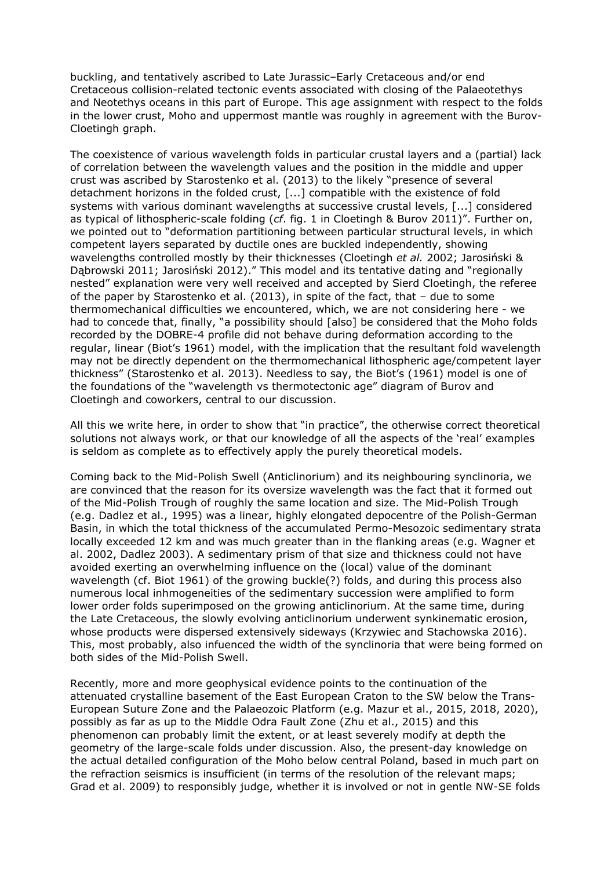buckling, and tentatively ascribed to Late Jurassic–Early Cretaceous and/or end Cretaceous collision-related tectonic events associated with closing of the Palaeotethys and Neotethys oceans in this part of Europe. This age assignment with respect to the folds in the lower crust, Moho and uppermost mantle was roughly in agreement with the Burov-Cloetingh graph.

The coexistence of various wavelength folds in particular crustal layers and a (partial) lack of correlation between the wavelength values and the position in the middle and upper crust was ascribed by Starostenko et al. (2013) to the likely "presence of several detachment horizons in the folded crust, [...] compatible with the existence of fold systems with various dominant wavelengths at successive crustal levels, [...] considered as typical of lithospheric-scale folding (*cf*. fig. 1 in Cloetingh & Burov 2011)". Further on, we pointed out to "deformation partitioning between particular structural levels, in which competent layers separated by ductile ones are buckled independently, showing wavelengths controlled mostly by their thicknesses (Cloetingh *et al.* 2002; Jarosiński & Dąbrowski 2011; Jarosiński 2012)." This model and its tentative dating and "regionally nested" explanation were very well received and accepted by Sierd Cloetingh, the referee of the paper by Starostenko et al. (2013), in spite of the fact, that – due to some thermomechanical difficulties we encountered, which, we are not considering here - we had to concede that, finally, "a possibility should [also] be considered that the Moho folds recorded by the DOBRE-4 profile did not behave during deformation according to the regular, linear (Biot's 1961) model, with the implication that the resultant fold wavelength may not be directly dependent on the thermomechanical lithospheric age/competent layer thickness" (Starostenko et al. 2013). Needless to say, the Biot's (1961) model is one of the foundations of the "wavelength vs thermotectonic age" diagram of Burov and Cloetingh and coworkers, central to our discussion.

All this we write here, in order to show that "in practice", the otherwise correct theoretical solutions not always work, or that our knowledge of all the aspects of the 'real' examples is seldom as complete as to effectively apply the purely theoretical models.

Coming back to the Mid-Polish Swell (Anticlinorium) and its neighbouring synclinoria, we are convinced that the reason for its oversize wavelength was the fact that it formed out of the Mid-Polish Trough of roughly the same location and size. The Mid-Polish Trough (e.g. Dadlez et al., 1995) was a linear, highly elongated depocentre of the Polish-German Basin, in which the total thickness of the accumulated Permo-Mesozoic sedimentary strata locally exceeded 12 km and was much greater than in the flanking areas (e.g. Wagner et al. 2002, Dadlez 2003). A sedimentary prism of that size and thickness could not have avoided exerting an overwhelming influence on the (local) value of the dominant wavelength (cf. Biot 1961) of the growing buckle(?) folds, and during this process also numerous local inhmogeneities of the sedimentary succession were amplified to form lower order folds superimposed on the growing anticlinorium. At the same time, during the Late Cretaceous, the slowly evolving anticlinorium underwent synkinematic erosion, whose products were dispersed extensively sideways (Krzywiec and Stachowska 2016). This, most probably, also infuenced the width of the synclinoria that were being formed on both sides of the Mid-Polish Swell.

Recently, more and more geophysical evidence points to the continuation of the attenuated crystalline basement of the East European Craton to the SW below the Trans-European Suture Zone and the Palaeozoic Platform (e.g. Mazur et al., 2015, 2018, 2020), possibly as far as up to the Middle Odra Fault Zone (Zhu et al., 2015) and this phenomenon can probably limit the extent, or at least severely modify at depth the geometry of the large-scale folds under discussion. Also, the present-day knowledge on the actual detailed configuration of the Moho below central Poland, based in much part on the refraction seismics is insufficient (in terms of the resolution of the relevant maps; Grad et al. 2009) to responsibly judge, whether it is involved or not in gentle NW-SE folds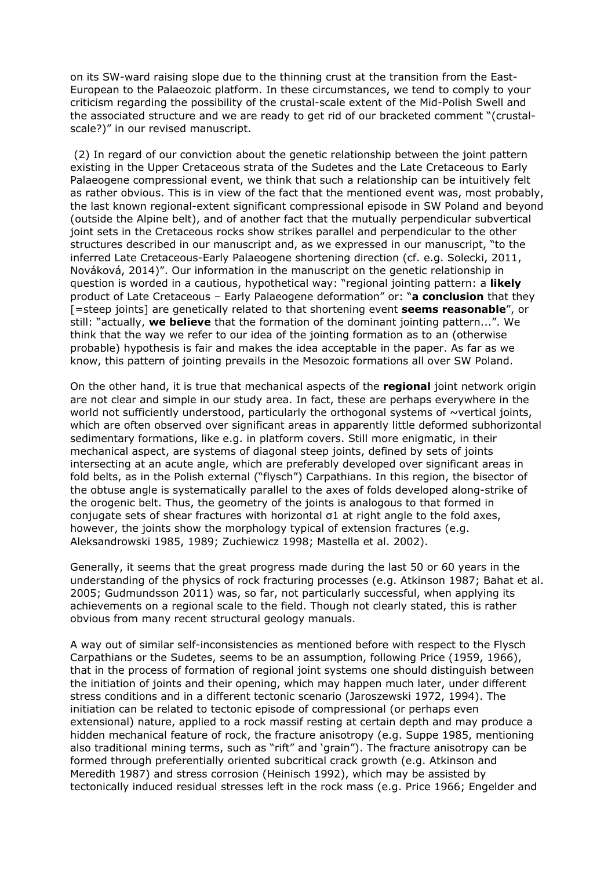on its SW-ward raising slope due to the thinning crust at the transition from the East-European to the Palaeozoic platform. In these circumstances, we tend to comply to your criticism regarding the possibility of the crustal-scale extent of the Mid-Polish Swell and the associated structure and we are ready to get rid of our bracketed comment "(crustalscale?)" in our revised manuscript.

 (2) In regard of our conviction about the genetic relationship between the joint pattern existing in the Upper Cretaceous strata of the Sudetes and the Late Cretaceous to Early Palaeogene compressional event, we think that such a relationship can be intuitively felt as rather obvious. This is in view of the fact that the mentioned event was, most probably, the last known regional-extent significant compressional episode in SW Poland and beyond (outside the Alpine belt), and of another fact that the mutually perpendicular subvertical ioint sets in the Cretaceous rocks show strikes parallel and perpendicular to the other structures described in our manuscript and, as we expressed in our manuscript, "to the inferred Late Cretaceous-Early Palaeogene shortening direction (cf. e.g. Solecki, 2011, Nováková, 2014)". Our information in the manuscript on the genetic relationship in question is worded in a cautious, hypothetical way: "regional jointing pattern: a **likely** product of Late Cretaceous – Early Palaeogene deformation" or: "**a conclusion** that they [=steep joints] are genetically related to that shortening event **seems reasonable**", or still: "actually, **we believe** that the formation of the dominant jointing pattern...". We think that the way we refer to our idea of the jointing formation as to an (otherwise probable) hypothesis is fair and makes the idea acceptable in the paper. As far as we know, this pattern of jointing prevails in the Mesozoic formations all over SW Poland.

On the other hand, it is true that mechanical aspects of the **regional** joint network origin are not clear and simple in our study area. In fact, these are perhaps everywhere in the world not sufficiently understood, particularly the orthogonal systems of  $\sim$ vertical joints, which are often observed over significant areas in apparently little deformed subhorizontal sedimentary formations, like e.g. in platform covers. Still more enigmatic, in their mechanical aspect, are systems of diagonal steep joints, defined by sets of joints intersecting at an acute angle, which are preferably developed over significant areas in fold belts, as in the Polish external ("flysch") Carpathians. In this region, the bisector of the obtuse angle is systematically parallel to the axes of folds developed along-strike of the orogenic belt. Thus, the geometry of the joints is analogous to that formed in conjugate sets of shear fractures with horizontal σ1 at right angle to the fold axes, however, the joints show the morphology typical of extension fractures (e.g. Aleksandrowski 1985, 1989; Zuchiewicz 1998; Mastella et al. 2002).

Generally, it seems that the great progress made during the last 50 or 60 years in the understanding of the physics of rock fracturing processes (e.g. Atkinson 1987; Bahat et al. 2005; Gudmundsson 2011) was, so far, not particularly successful, when applying its achievements on a regional scale to the field. Though not clearly stated, this is rather obvious from many recent structural geology manuals.

A way out of similar self-inconsistencies as mentioned before with respect to the Flysch Carpathians or the Sudetes, seems to be an assumption, following Price (1959, 1966), that in the process of formation of regional joint systems one should distinguish between the initiation of joints and their opening, which may happen much later, under different stress conditions and in a different tectonic scenario (Jaroszewski 1972, 1994). The initiation can be related to tectonic episode of compressional (or perhaps even extensional) nature, applied to a rock massif resting at certain depth and may produce a hidden mechanical feature of rock, the fracture anisotropy (e.g. Suppe 1985, mentioning also traditional mining terms, such as "rift" and 'grain"). The fracture anisotropy can be formed through preferentially oriented subcritical crack growth (e.g. Atkinson and Meredith 1987) and stress corrosion (Heinisch 1992), which may be assisted by tectonically induced residual stresses left in the rock mass (e.g. Price 1966; Engelder and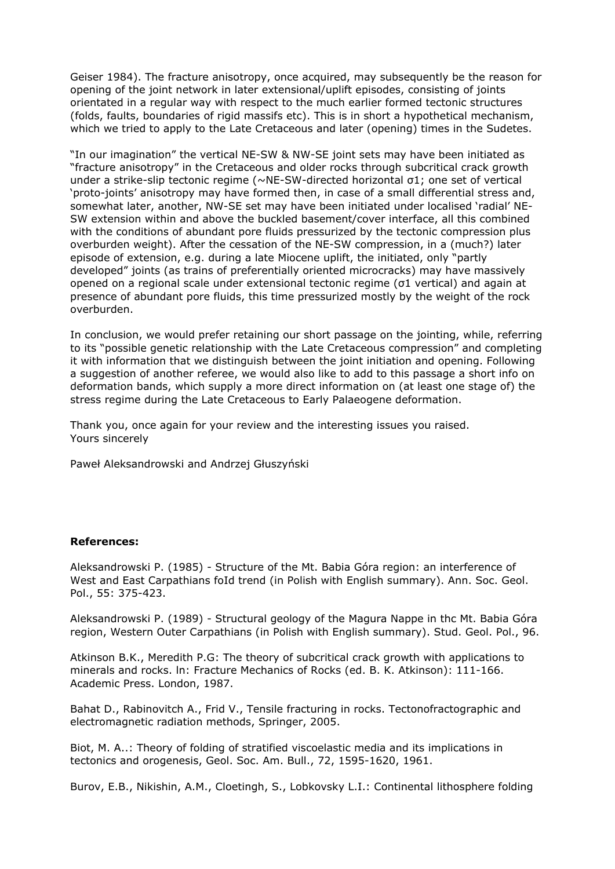Geiser 1984). The fracture anisotropy, once acquired, may subsequently be the reason for opening of the joint network in later extensional/uplift episodes, consisting of joints orientated in a regular way with respect to the much earlier formed tectonic structures (folds, faults, boundaries of rigid massifs etc). This is in short a hypothetical mechanism, which we tried to apply to the Late Cretaceous and later (opening) times in the Sudetes.

"In our imagination" the vertical NE-SW & NW-SE joint sets may have been initiated as "fracture anisotropy" in the Cretaceous and older rocks through subcritical crack growth under a strike-slip tectonic regime (~NE-SW-directed horizontal σ1; one set of vertical 'proto-joints' anisotropy may have formed then, in case of a small differential stress and, somewhat later, another, NW-SE set may have been initiated under localised 'radial' NE-SW extension within and above the buckled basement/cover interface, all this combined with the conditions of abundant pore fluids pressurized by the tectonic compression plus overburden weight). After the cessation of the NE-SW compression, in a (much?) later episode of extension, e.g. during a late Miocene uplift, the initiated, only "partly developed" joints (as trains of preferentially oriented microcracks) may have massively opened on a regional scale under extensional tectonic regime (σ1 vertical) and again at presence of abundant pore fluids, this time pressurized mostly by the weight of the rock overburden.

In conclusion, we would prefer retaining our short passage on the jointing, while, referring to its "possible genetic relationship with the Late Cretaceous compression" and completing it with information that we distinguish between the joint initiation and opening. Following a suggestion of another referee, we would also like to add to this passage a short info on deformation bands, which supply a more direct information on (at least one stage of) the stress regime during the Late Cretaceous to Early Palaeogene deformation.

Thank you, once again for your review and the interesting issues you raised. Yours sincerely

Paweł Aleksandrowski and Andrzej Głuszyński

## **References:**

Aleksandrowski P. (1985) - Structure of the Mt. Babia Góra region: an interference of West and East Carpathians foId trend (in Polish with English summary). Ann. Soc. Geol. Pol., 55: 375-423.

Aleksandrowski P. (1989) - Structural geology of the Magura Nappe in thc Mt. Babia Góra region, Western Outer Carpathians (in Polish with English summary). Stud. Geol. Pol., 96.

Atkinson B.K., Meredith P.G: The theory of subcritical crack growth with applications to minerals and rocks. ln: Fracture Mechanics of Rocks (ed. B. K. Atkinson): 111-166. Academic Press. London, 1987.

Bahat D., Rabinovitch A., Frid V., Tensile fracturing in rocks. Tectonofractographic and electromagnetic radiation methods, Springer, 2005.

Biot, M. A..: Theory of folding of stratified viscoelastic media and its implications in tectonics and orogenesis, Geol. Soc. Am. Bull., 72, 1595-1620, 1961.

Burov, E.B., Nikishin, A.M., Cloetingh, S., Lobkovsky L.I.: Continental lithosphere folding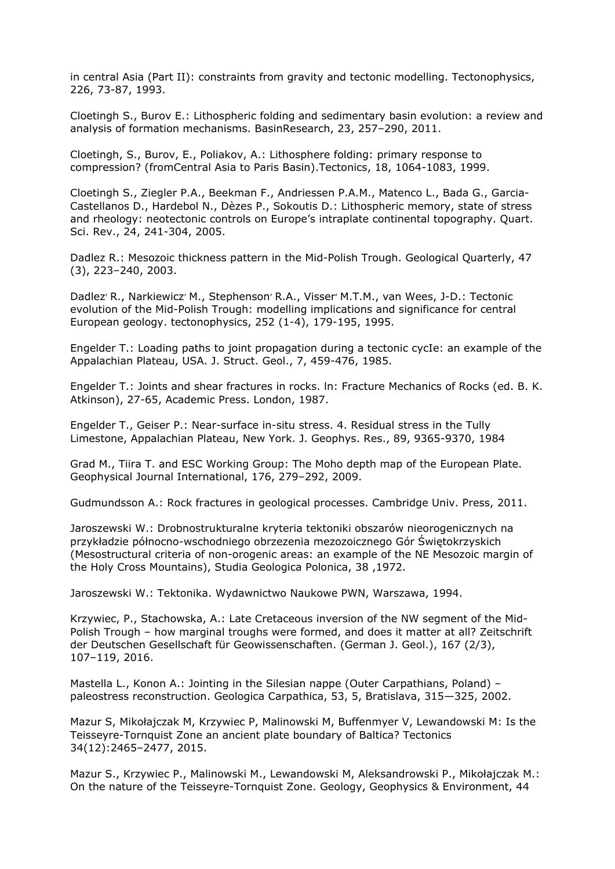in central Asia (Part II): constraints from gravity and tectonic modelling. Tectonophysics, 226, 73-87, 1993.

Cloetingh S., Burov E.: Lithospheric folding and sedimentary basin evolution: a review and analysis of formation mechanisms. BasinResearch, 23, 257–290, 2011.

Cloetingh, S., Burov, E., Poliakov, A.: Lithosphere folding: primary response to compression? (fromCentral Asia to Paris Basin).Tectonics, 18, 1064-1083, 1999.

Cloetingh S., Ziegler P.A., Beekman F., Andriessen P.A.M., Matenco L., Bada G., Garcia-Castellanos D., Hardebol N., Dèzes P., Sokoutis D.: Lithospheric memory, state of stress and rheology: neotectonic controls on Europe's intraplate continental topography. Quart. Sci. Rev., 24, 241-304, 2005.

Dadlez R.: Mesozoic thickness pattern in the Mid-Polish Trough. Geological Quarterly, 47 (3), 223–240, 2003.

Dadlez' R., Narkiewicz' M., Stephenson' R.A., Visser' M.T.M., van Wees, J-D.: Tectonic evolution of the Mid-Polish Trough: modelling implications and significance for central European geology. tectonophysics, 252 (1-4), 179-195, 1995.

Engelder T.: Loading paths to joint propagation during a tectonic cycIe: an example of the Appalachian Plateau, USA. J. Struct. Geol., 7, 459-476, 1985.

Engelder T.: Joints and shear fractures in rocks. ln: Fracture Mechanics of Rocks (ed. B. K. Atkinson), 27-65, Academic Press. London, 1987.

Engelder T., Geiser P.: Near-surface in-situ stress. 4. Residual stress in the Tully Limestone, Appalachian Plateau, New York. J. Geophys. Res., 89, 9365-9370, 1984

Grad M., Tiira T. and ESC Working Group: The Moho depth map of the European Plate. Geophysical Journal International, 176, 279–292, 2009.

Gudmundsson A.: Rock fractures in geological processes. Cambridge Univ. Press, 2011.

Jaroszewski W.: Drobnostrukturalne kryteria tektoniki obszarów nieorogenicznych na przykładzie północno-wschodniego obrzezenia mezozoicznego Gór Świętokrzyskich (Mesostructural criteria of non-orogenic areas: an example of the NE Mesozoic margin of the Holy Cross Mountains), Studia Geologica Polonica, 38 ,1972.

Jaroszewski W.: Tektonika. Wydawnictwo Naukowe PWN, Warszawa, 1994.

Krzywiec, P., Stachowska, A.: Late Cretaceous inversion of the NW segment of the Mid-Polish Trough – how marginal troughs were formed, and does it matter at all? Zeitschrift der Deutschen Gesellschaft für Geowissenschaften. (German J. Geol.), 167 (2/3), 107–119, 2016.

Mastella L., Konon A.: Jointing in the Silesian nappe (Outer Carpathians, Poland) – paleostress reconstruction. Geologica Carpathica, 53, 5, Bratislava, 315—325, 2002.

Mazur S, Mikołajczak M, Krzywiec P, Malinowski M, Buffenmyer V, Lewandowski M: Is the Teisseyre-Tornquist Zone an ancient plate boundary of Baltica? Tectonics 34(12):2465–2477, 2015.

Mazur S., Krzywiec P., Malinowski M., Lewandowski M, Aleksandrowski P., Mikołajczak M.: On the nature of the Teisseyre-Tornquist Zone. Geology, Geophysics & Environment, 44